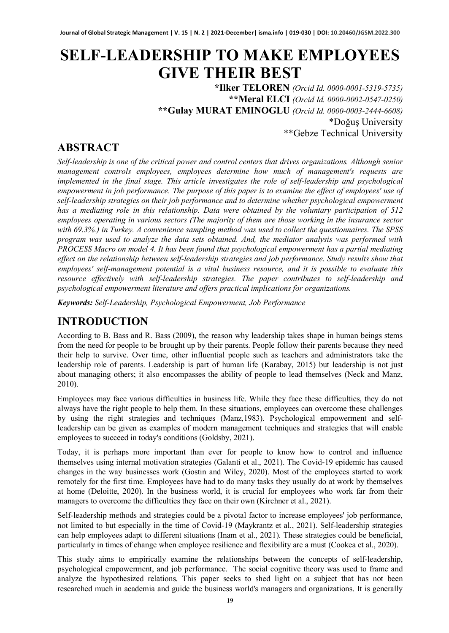# **SELF-LEADERSHIP TO MAKE EMPLOYEES GIVE THEIR BEST**

**\*Ilker TELOREN** *(Orcid Id. 0000-0001-5319-5735)* **\*\*Meral ELCI** *(Orcid Id. 0000-0002-0547-0250)* **\*\*Gulay MURAT EMINOGLU** *(Orcid Id. 0000-0003-2444-6608)* \*Doğuş University \*\*Gebze Technical University

# **ABSTRACT**

*Self-leadership is one of the critical power and control centers that drives organizations. Although senior management controls employees, employees determine how much of management's requests are implemented in the final stage. This article investigates the role of self-leadership and psychological empowerment in job performance. The purpose of this paper is to examine the effect of employees' use of self-leadership strategies on their job performance and to determine whether psychological empowerment has a mediating role in this relationship. Data were obtained by the voluntary participation of 512 employees operating in various sectors (The majority of them are those working in the insurance sector with 69.3%.) in Turkey. A convenience sampling method was used to collect the questionnaires. The SPSS program was used to analyze the data sets obtained. And, the mediator analysis was performed with PROCESS Macro on model 4. It has been found that psychological empowerment has a partial mediating effect on the relationship between self-leadership strategies and job performance. Study results show that employees' self-management potential is a vital business resource, and it is possible to evaluate this resource effectively with self-leadership strategies. The paper contributes to self-leadership and psychological empowerment literature and offers practical implications for organizations.*

*Keywords: Self-Leadership, Psychological Empowerment, Job Performance*

# **INTRODUCTION**

According to B. Bass and R. Bass (2009), the reason why leadership takes shape in human beings stems from the need for people to be brought up by their parents. People follow their parents because they need their help to survive. Over time, other influential people such as teachers and administrators take the leadership role of parents. Leadership is part of human life (Karabay, 2015) but leadership is not just about managing others; it also encompasses the ability of people to lead themselves (Neck and Manz, 2010).

Employees may face various difficulties in business life. While they face these difficulties, they do not always have the right people to help them. In these situations, employees can overcome these challenges by using the right strategies and techniques (Manz,1983). Psychological empowerment and selfleadership can be given as examples of modern management techniques and strategies that will enable employees to succeed in today's conditions (Goldsby, 2021).

Today, it is perhaps more important than ever for people to know how to control and influence themselves using internal motivation strategies (Galanti et al., 2021). The Covid-19 epidemic has caused changes in the way businesses work (Gostin and Wiley, 2020). Most of the employees started to work remotely for the first time. Employees have had to do many tasks they usually do at work by themselves at home (Deloitte, 2020). In the business world, it is crucial for employees who work far from their managers to overcome the difficulties they face on their own (Kirchner et al., 2021).

Self-leadership methods and strategies could be a pivotal factor to increase employees' job performance, not limited to but especially in the time of Covid-19 (Maykrantz et al., 2021). Self-leadership strategies can help employees adapt to different situations (Inam et al., 2021). These strategies could be beneficial, particularly in times of change when employee resilience and flexibility are a must (Cookea et al., 2020).

This study aims to empirically examine the relationships between the concepts of self-leadership, psychological empowerment, and job performance. The social cognitive theory was used to frame and analyze the hypothesized relations. This paper seeks to shed light on a subject that has not been researched much in academia and guide the business world's managers and organizations. It is generally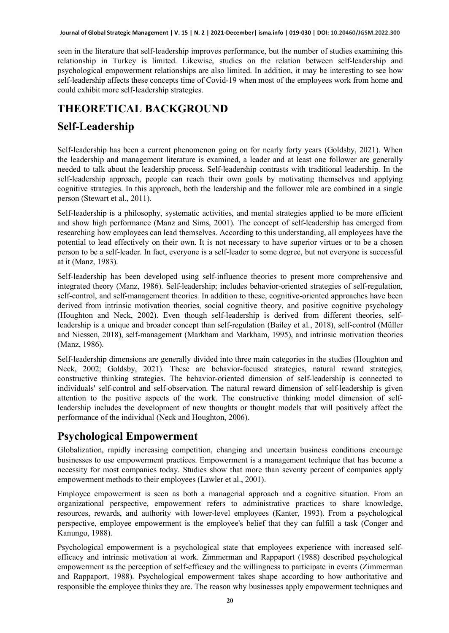seen in the literature that self-leadership improves performance, but the number of studies examining this relationship in Turkey is limited. Likewise, studies on the relation between self-leadership and psychological empowerment relationships are also limited. In addition, it may be interesting to see how self-leadership affects these concepts time of Covid-19 when most of the employees work from home and could exhibit more self-leadership strategies.

# **THEORETICAL BACKGROUND**

# **Self-Leadership**

Self-leadership has been a current phenomenon going on for nearly forty years (Goldsby, 2021). When the leadership and management literature is examined, a leader and at least one follower are generally needed to talk about the leadership process. Self-leadership contrasts with traditional leadership. In the self-leadership approach, people can reach their own goals by motivating themselves and applying cognitive strategies. In this approach, both the leadership and the follower role are combined in a single person (Stewart et al., 2011).

Self-leadership is a philosophy, systematic activities, and mental strategies applied to be more efficient and show high performance (Manz and Sims, 2001). The concept of self-leadership has emerged from researching how employees can lead themselves. According to this understanding, all employees have the potential to lead effectively on their own. It is not necessary to have superior virtues or to be a chosen person to be a self-leader. In fact, everyone is a self-leader to some degree, but not everyone is successful at it (Manz, 1983).

Self-leadership has been developed using self-influence theories to present more comprehensive and integrated theory (Manz, 1986). Self-leadership; includes behavior-oriented strategies of self-regulation, self-control, and self-management theories. In addition to these, cognitive-oriented approaches have been derived from intrinsic motivation theories, social cognitive theory, and positive cognitive psychology (Houghton and Neck, 2002). Even though self-leadership is derived from different theories, selfleadership is a unique and broader concept than self-regulation (Bailey et al., 2018), self-control (Müller and Niessen, 2018), self-management (Markham and Markham, 1995), and intrinsic motivation theories (Manz, 1986).

Self-leadership dimensions are generally divided into three main categories in the studies (Houghton and Neck, 2002; Goldsby, 2021). These are behavior-focused strategies, natural reward strategies, constructive thinking strategies. The behavior-oriented dimension of self-leadership is connected to individuals' self-control and self-observation. The natural reward dimension of self-leadership is given attention to the positive aspects of the work. The constructive thinking model dimension of selfleadership includes the development of new thoughts or thought models that will positively affect the performance of the individual (Neck and Houghton, 2006).

# **Psychological Empowerment**

Globalization, rapidly increasing competition, changing and uncertain business conditions encourage businesses to use empowerment practices. Empowerment is a management technique that has become a necessity for most companies today. Studies show that more than seventy percent of companies apply empowerment methods to their employees (Lawler et al., 2001).

Employee empowerment is seen as both a managerial approach and a cognitive situation. From an organizational perspective, empowerment refers to administrative practices to share knowledge, resources, rewards, and authority with lower-level employees (Kanter, 1993). From a psychological perspective, employee empowerment is the employee's belief that they can fulfill a task (Conger and Kanungo, 1988).

Psychological empowerment is a psychological state that employees experience with increased selfefficacy and intrinsic motivation at work. Zimmerman and Rappaport (1988) described psychological empowerment as the perception of self-efficacy and the willingness to participate in events (Zimmerman and Rappaport, 1988). Psychological empowerment takes shape according to how authoritative and responsible the employee thinks they are. The reason why businesses apply empowerment techniques and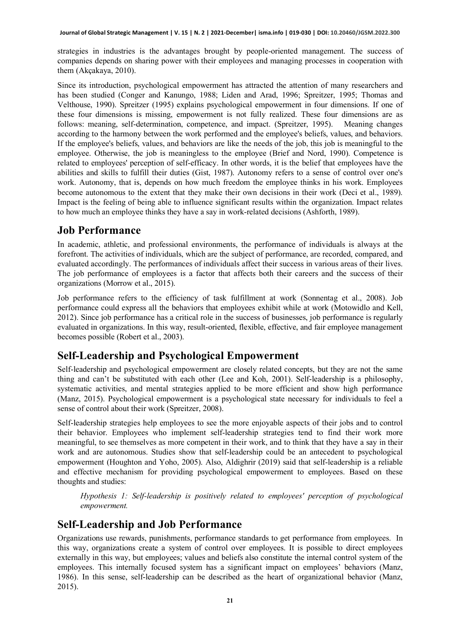strategies in industries is the advantages brought by people-oriented management. The success of companies depends on sharing power with their employees and managing processes in cooperation with them (Akçakaya, 2010).

Since its introduction, psychological empowerment has attracted the attention of many researchers and has been studied (Conger and Kanungo, 1988; Liden and Arad, 1996; Spreitzer, 1995; Thomas and Velthouse, 1990). Spreitzer (1995) explains psychological empowerment in four dimensions. If one of these four dimensions is missing, empowerment is not fully realized. These four dimensions are as follows: meaning, self-determination, competence, and impact. (Spreitzer, 1995). Meaning changes according to the harmony between the work performed and the employee's beliefs, values, and behaviors. If the employee's beliefs, values, and behaviors are like the needs of the job, this job is meaningful to the employee. Otherwise, the job is meaningless to the employee (Brief and Nord, 1990). Competence is related to employees' perception of self-efficacy. In other words, it is the belief that employees have the abilities and skills to fulfill their duties (Gist, 1987). Autonomy refers to a sense of control over one's work. Autonomy, that is, depends on how much freedom the employee thinks in his work. Employees become autonomous to the extent that they make their own decisions in their work (Deci et al., 1989). Impact is the feeling of being able to influence significant results within the organization. Impact relates to how much an employee thinks they have a say in work-related decisions (Ashforth, 1989).

### **Job Performance**

In academic, athletic, and professional environments, the performance of individuals is always at the forefront. The activities of individuals, which are the subject of performance, are recorded, compared, and evaluated accordingly. The performances of individuals affect their success in various areas of their lives. The job performance of employees is a factor that affects both their careers and the success of their organizations (Morrow et al., 2015).

Job performance refers to the efficiency of task fulfillment at work (Sonnentag et al., 2008). Job performance could express all the behaviors that employees exhibit while at work (Motowidlo and Kell, 2012). Since job performance has a critical role in the success of businesses, job performance is regularly evaluated in organizations. In this way, result-oriented, flexible, effective, and fair employee management becomes possible (Robert et al., 2003).

### **Self-Leadership and Psychological Empowerment**

Self-leadership and psychological empowerment are closely related concepts, but they are not the same thing and can't be substituted with each other (Lee and Koh, 2001). Self-leadership is a philosophy, systematic activities, and mental strategies applied to be more efficient and show high performance (Manz, 2015). Psychological empowerment is a psychological state necessary for individuals to feel a sense of control about their work (Spreitzer, 2008).

Self-leadership strategies help employees to see the more enjoyable aspects of their jobs and to control their behavior. Employees who implement self-leadership strategies tend to find their work more meaningful, to see themselves as more competent in their work, and to think that they have a say in their work and are autonomous. Studies show that self-leadership could be an antecedent to psychological empowerment (Houghton and Yoho, 2005). Also, Aldighrir (2019) said that self-leadership is a reliable and effective mechanism for providing psychological empowerment to employees. Based on these thoughts and studies:

*Hypothesis 1: Self-leadership is positively related to employees' perception of psychological empowerment.*

### **Self-Leadership and Job Performance**

Organizations use rewards, punishments, performance standards to get performance from employees. In this way, organizations create a system of control over employees. It is possible to direct employees externally in this way, but employees; values and beliefs also constitute the internal control system of the employees. This internally focused system has a significant impact on employees' behaviors (Manz, 1986). In this sense, self-leadership can be described as the heart of organizational behavior (Manz, 2015).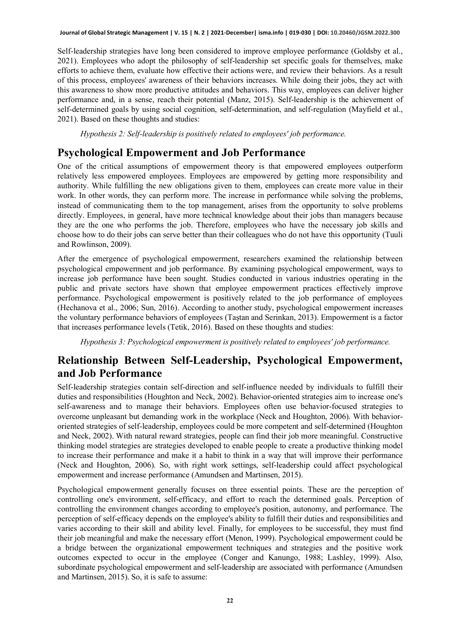Self-leadership strategies have long been considered to improve employee performance (Goldsby et al., 2021). Employees who adopt the philosophy of self-leadership set specific goals for themselves, make efforts to achieve them, evaluate how effective their actions were, and review their behaviors. As a result of this process, employees' awareness of their behaviors increases. While doing their jobs, they act with this awareness to show more productive attitudes and behaviors. This way, employees can deliver higher performance and, in a sense, reach their potential (Manz, 2015). Self-leadership is the achievement of self-determined goals by using social cognition, self-determination, and self-regulation (Mayfield et al., 2021). Based on these thoughts and studies:

*Hypothesis 2: Self-leadership is positively related to employees' job performance.*

### **Psychological Empowerment and Job Performance**

One of the critical assumptions of empowerment theory is that empowered employees outperform relatively less empowered employees. Employees are empowered by getting more responsibility and authority. While fulfilling the new obligations given to them, employees can create more value in their work. In other words, they can perform more. The increase in performance while solving the problems, instead of communicating them to the top management, arises from the opportunity to solve problems directly. Employees, in general, have more technical knowledge about their jobs than managers because they are the one who performs the job. Therefore, employees who have the necessary job skills and choose how to do their jobs can serve better than their colleagues who do not have this opportunity (Tuuli and Rowlinson, 2009).

After the emergence of psychological empowerment, researchers examined the relationship between psychological empowerment and job performance. By examining psychological empowerment, ways to increase job performance have been sought. Studies conducted in various industries operating in the public and private sectors have shown that employee empowerment practices effectively improve performance. Psychological empowerment is positively related to the job performance of employees (Hechanova et al., 2006; Sun, 2016). According to another study, psychological empowerment increases the voluntary performance behaviors of employees (Taştan and Serinkan, 2013). Empowerment is a factor that increases performance levels (Tetik, 2016). Based on these thoughts and studies:

*Hypothesis 3: Psychological empowerment is positively related to employees' job performance.*

### **Relationship Between Self-Leadership, Psychological Empowerment, and Job Performance**

Self-leadership strategies contain self-direction and self-influence needed by individuals to fulfill their duties and responsibilities (Houghton and Neck, 2002). Behavior-oriented strategies aim to increase one's self-awareness and to manage their behaviors. Employees often use behavior-focused strategies to overcome unpleasant but demanding work in the workplace (Neck and Houghton, 2006). With behaviororiented strategies of self-leadership, employees could be more competent and self-determined (Houghton and Neck, 2002). With natural reward strategies, people can find their job more meaningful. Constructive thinking model strategies are strategies developed to enable people to create a productive thinking model to increase their performance and make it a habit to think in a way that will improve their performance (Neck and Houghton, 2006). So, with right work settings, self-leadership could affect psychological empowerment and increase performance (Amundsen and Martinsen, 2015).

Psychological empowerment generally focuses on three essential points. These are the perception of controlling one's environment, self-efficacy, and effort to reach the determined goals. Perception of controlling the environment changes according to employee's position, autonomy, and performance. The perception of self-efficacy depends on the employee's ability to fulfill their duties and responsibilities and varies according to their skill and ability level. Finally, for employees to be successful, they must find their job meaningful and make the necessary effort (Menon, 1999). Psychological empowerment could be a bridge between the organizational empowerment techniques and strategies and the positive work outcomes expected to occur in the employee (Conger and Kanungo, 1988; Lashley, 1999). Also, subordinate psychological empowerment and self-leadership are associated with performance (Amundsen and Martinsen, 2015). So, it is safe to assume: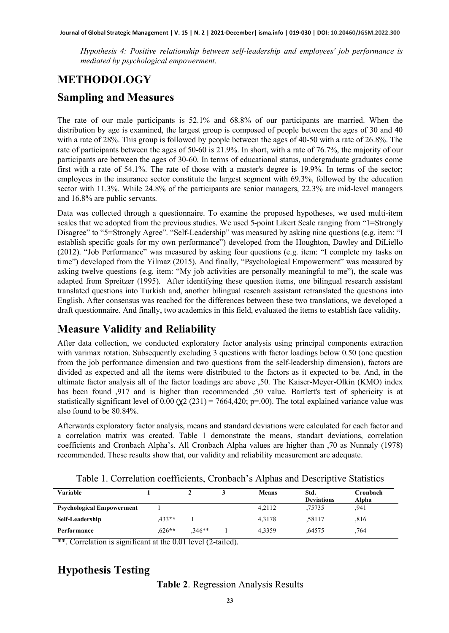*Hypothesis 4: Positive relationship between self-leadership and employees' job performance is mediated by psychological empowerment.*

# **METHODOLOGY Sampling and Measures**

The rate of our male participants is 52.1% and 68.8% of our participants are married. When the distribution by age is examined, the largest group is composed of people between the ages of 30 and 40 with a rate of 28%. This group is followed by people between the ages of 40-50 with a rate of 26.8%. The rate of participants between the ages of 50-60 is 21.9%. In short, with a rate of 76.7%, the majority of our participants are between the ages of 30-60. In terms of educational status, undergraduate graduates come first with a rate of 54.1%. The rate of those with a master's degree is 19.9%. In terms of the sector; employees in the insurance sector constitute the largest segment with 69.3%, followed by the education sector with 11.3%. While 24.8% of the participants are senior managers, 22.3% are mid-level managers and 16.8% are public servants.

Data was collected through a questionnaire. To examine the proposed hypotheses, we used multi-item scales that we adopted from the previous studies. We used 5-point Likert Scale ranging from "1=Strongly Disagree" to "5=Strongly Agree". "Self-Leadership" was measured by asking nine questions (e.g. item: "I establish specific goals for my own performance") developed from the Houghton, Dawley and DiLiello (2012). "Job Performance" was measured by asking four questions (e.g. item: "I complete my tasks on time") developed from the Yilmaz (2015). And finally, "Psychological Empowerment" was measured by asking twelve questions (e.g. item: "My job activities are personally meaningful to me"), the scale was adapted from Spreitzer (1995). After identifying these question items, one bilingual research assistant translated questions into Turkish and, another bilingual research assistant retranslated the questions into English. After consensus was reached for the differences between these two translations, we developed a draft questionnaire. And finally, two academics in this field, evaluated the items to establish face validity.

### **Measure Validity and Reliability**

After data collection, we conducted exploratory factor analysis using principal components extraction with varimax rotation. Subsequently excluding 3 questions with factor loadings below 0.50 (one question from the job performance dimension and two questions from the self-leadership dimension), factors are divided as expected and all the items were distributed to the factors as it expected to be. And, in the ultimate factor analysis all of the factor loadings are above ,50. The Kaiser-Meyer-Olkin (KMO) index has been found ,917 and is higher than recommended ,50 value. Bartlett's test of sphericity is at statistically significant level of 0.00 ( $\chi$ 2 (231) = 7664,420; p=.00). The total explained variance value was also found to be 80.84%.

Afterwards exploratory factor analysis, means and standard deviations were calculated for each factor and a correlation matrix was created. Table 1 demonstrate the means, standart deviations, correlation coefficients and Cronbach Alpha's. All Cronbach Alpha values are higher than ,70 as Nunnaly (1978) recommended. These results show that, our validity and reliability measurement are adequate.

| Variable                         |          |          | <b>Means</b> | Std.<br><b>Deviations</b> | Cronbach<br>Alpha |
|----------------------------------|----------|----------|--------------|---------------------------|-------------------|
| <b>Psychological Empowerment</b> |          |          | 4.2112       | .75735                    | .941              |
| Self-Leadership                  | $.433**$ |          | 4.3178       | .58117                    | .816              |
| Performance                      | .626**   | $,346**$ | 4.3359       | .64575                    | .764              |

Table 1. Correlation coefficients, Cronbach's Alphas and Descriptive Statistics

\*\*. Correlation is significant at the 0.01 level (2-tailed).

### **Hypothesis Testing**

**Table 2**. Regression Analysis Results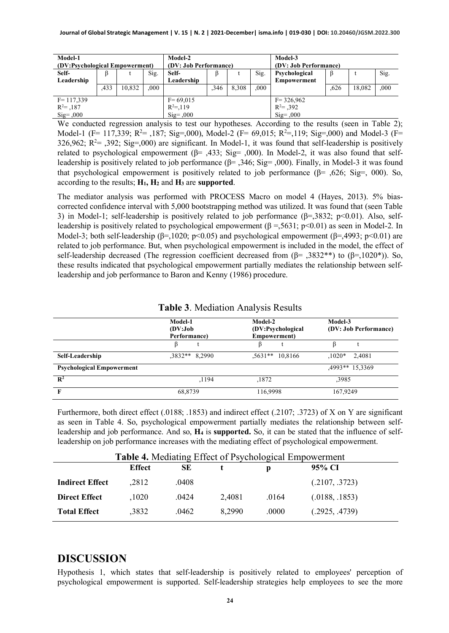| Model-1<br>(DV:Psychological Empowerment)             |      |        | Model-2<br>(DV: Job Performance) |                                                    |      |       | Model-3<br>(DV: Job Performance) |                                                       |      |        |      |
|-------------------------------------------------------|------|--------|----------------------------------|----------------------------------------------------|------|-------|----------------------------------|-------------------------------------------------------|------|--------|------|
| Self-                                                 |      |        | Sig.                             | Self-                                              |      |       | Sig.                             | Psychological                                         |      |        | Sig. |
| Leadership                                            |      |        |                                  | Leadership                                         |      |       |                                  | Empowerment                                           |      |        |      |
|                                                       | .433 | 10,832 | .000                             |                                                    | ,346 | 8.308 | .000                             |                                                       | .626 | 18.082 | .000 |
| $F = 117,339$<br>$R^2 = 0.187$<br>$\text{Sig} = 0.00$ |      |        |                                  | $F = 69,015$<br>$R^2 = 119$<br>$\text{Sig} = 0.00$ |      |       |                                  | $F = 326,962$<br>$R^2 = 0.392$<br>$\text{Sig} = 0.00$ |      |        |      |

We conducted regression analysis to test our hypotheses. According to the results (seen in Table 2); Model-1 (F= 117,339; R<sup>2</sup>= ,187; Sig=,000), Model-2 (F= 69,015; R<sup>2</sup>=,119; Sig=,000) and Model-3 (F= 326,962;  $R^2 = 0.392$ ; Sig=,000) are significant. In Model-1, it was found that self-leadership is positively related to psychological empowerment ( $\beta$ = ,433; Sig= ,000). In Model-2, it was also found that selfleadership is positively related to job performance ( $\beta$ = ,346; Sig= ,000). Finally, in Model-3 it was found that psychological empowerment is positively related to job performance ( $\beta$ = ,626; Sig=, 000). So, according to the results; **H1, H2** and **H3** are **supported**.

The mediator analysis was performed with PROCESS Macro on model 4 (Hayes, 2013). 5% biascorrected confidence interval with 5,000 bootstrapping method was utilized. It was found that (seen Table 3) in Model-1; self-leadership is positively related to job performance  $(\beta = 3832; \beta < 0.01)$ . Also, selfleadership is positively related to psychological empowerment  $(\beta = 5631; \text{ p} < 0.01)$  as seen in Model-2. In Model-3; both self-leadership ( $\beta$ =,1020; p<0.05) and psychological empowerment ( $\beta$ =,4993; p<0.01) are related to job performance. But, when psychological empowerment is included in the model, the effect of self-leadership decreased (The regression coefficient decreased from  $(\beta = 0.3832^{**})$  to  $(\beta = 1020^*)$ ). So, these results indicated that psychological empowerment partially mediates the relationship between selfleadership and job performance to Baron and Kenny (1986) procedure.

|                                  | Model-1<br>(DV:Job<br>Performance) | Model-2<br>(DV:Psychological<br>Empowerment) | Model-3<br>(DV: Job Performance) |  |  |
|----------------------------------|------------------------------------|----------------------------------------------|----------------------------------|--|--|
|                                  | ß                                  |                                              |                                  |  |  |
| Self-Leadership                  | $.3832**$ 8.2990                   | $.5631**$ 10.8166                            | 2.4081<br>$.1020*$               |  |  |
| <b>Psychological Empowerment</b> |                                    |                                              | 4993** 15.3369                   |  |  |
| $\mathbb{R}^2$                   | ,1194                              | ,1872                                        | ,3985                            |  |  |
|                                  | 68,8739                            | 116,9998                                     | 167,9249                         |  |  |

#### **Table 3**. Mediation Analysis Results

Furthermore, both direct effect (.0188; .1853) and indirect effect (.2107; .3723) of X on Y are significant as seen in Table 4. So, psychological empowerment partially mediates the relationship between selfleadership and job performance. And so, **H4** is **supported.** So, it can be stated that the influence of selfleadership on job performance increases with the mediating effect of psychological empowerment.

| <b>Table 4.</b> Mediating Effect of Psychological Empowerment |               |       |        |       |                |  |
|---------------------------------------------------------------|---------------|-------|--------|-------|----------------|--|
|                                                               | <b>Effect</b> | SЕ    |        | D     | 95% CI         |  |
| <b>Indirect Effect</b>                                        | .2812         | .0408 |        |       | (.2107, .3723) |  |
| <b>Direct Effect</b>                                          | .1020         | .0424 | 2.4081 | .0164 | (.0188, .1853) |  |
| <b>Total Effect</b>                                           | .3832         | .0462 | 8.2990 | .0000 | (.2925, .4739) |  |

### **DISCUSSION**

Hypothesis 1, which states that self-leadership is positively related to employees' perception of psychological empowerment is supported. Self-leadership strategies help employees to see the more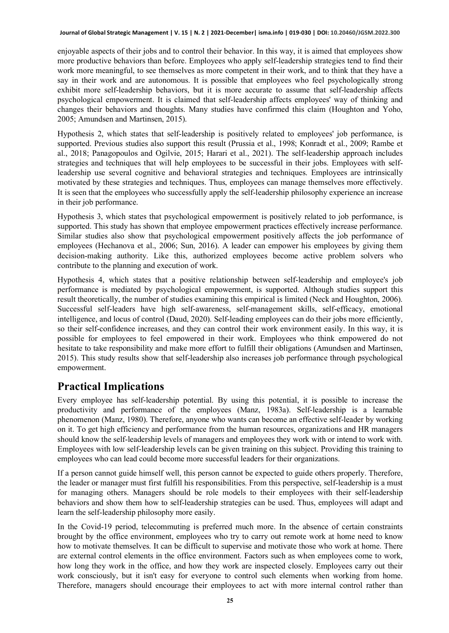enjoyable aspects of their jobs and to control their behavior. In this way, it is aimed that employees show more productive behaviors than before. Employees who apply self-leadership strategies tend to find their work more meaningful, to see themselves as more competent in their work, and to think that they have a say in their work and are autonomous. It is possible that employees who feel psychologically strong exhibit more self-leadership behaviors, but it is more accurate to assume that self-leadership affects psychological empowerment. It is claimed that self-leadership affects employees' way of thinking and changes their behaviors and thoughts. Many studies have confirmed this claim (Houghton and Yoho, 2005; Amundsen and Martinsen, 2015).

Hypothesis 2, which states that self-leadership is positively related to employees' job performance, is supported. Previous studies also support this result (Prussia et al., 1998; Konradt et al., 2009; Rambe et al., 2018; Panagopoulos and Ogilvie, 2015; Harari et al., 2021). The self-leadership approach includes strategies and techniques that will help employees to be successful in their jobs. Employees with selfleadership use several cognitive and behavioral strategies and techniques. Employees are intrinsically motivated by these strategies and techniques. Thus, employees can manage themselves more effectively. It is seen that the employees who successfully apply the self-leadership philosophy experience an increase in their job performance.

Hypothesis 3, which states that psychological empowerment is positively related to job performance, is supported. This study has shown that employee empowerment practices effectively increase performance. Similar studies also show that psychological empowerment positively affects the job performance of employees (Hechanova et al., 2006; Sun, 2016). A leader can empower his employees by giving them decision-making authority. Like this, authorized employees become active problem solvers who contribute to the planning and execution of work.

Hypothesis 4, which states that a positive relationship between self-leadership and employee's job performance is mediated by psychological empowerment, is supported. Although studies support this result theoretically, the number of studies examining this empirical is limited (Neck and Houghton, 2006). Successful self-leaders have high self-awareness, self-management skills, self-efficacy, emotional intelligence, and locus of control (Daud, 2020). Self-leading employees can do their jobs more efficiently, so their self-confidence increases, and they can control their work environment easily. In this way, it is possible for employees to feel empowered in their work. Employees who think empowered do not hesitate to take responsibility and make more effort to fulfill their obligations (Amundsen and Martinsen, 2015). This study results show that self-leadership also increases job performance through psychological empowerment.

# **Practical Implications**

Every employee has self-leadership potential. By using this potential, it is possible to increase the productivity and performance of the employees (Manz, 1983a). Self-leadership is a learnable phenomenon (Manz, 1980). Therefore, anyone who wants can become an effective self-leader by working on it. To get high efficiency and performance from the human resources, organizations and HR managers should know the self-leadership levels of managers and employees they work with or intend to work with. Employees with low self-leadership levels can be given training on this subject. Providing this training to employees who can lead could become more successful leaders for their organizations.

If a person cannot guide himself well, this person cannot be expected to guide others properly. Therefore, the leader or manager must first fulfill his responsibilities. From this perspective, self-leadership is a must for managing others. Managers should be role models to their employees with their self-leadership behaviors and show them how to self-leadership strategies can be used. Thus, employees will adapt and learn the self-leadership philosophy more easily.

In the Covid-19 period, telecommuting is preferred much more. In the absence of certain constraints brought by the office environment, employees who try to carry out remote work at home need to know how to motivate themselves. It can be difficult to supervise and motivate those who work at home. There are external control elements in the office environment. Factors such as when employees come to work, how long they work in the office, and how they work are inspected closely. Employees carry out their work consciously, but it isn't easy for everyone to control such elements when working from home. Therefore, managers should encourage their employees to act with more internal control rather than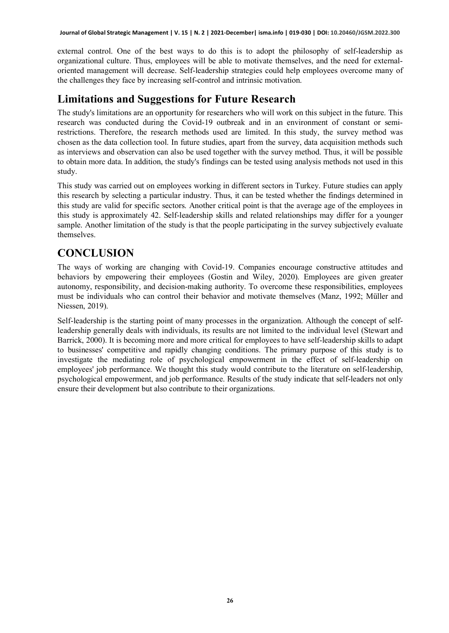external control. One of the best ways to do this is to adopt the philosophy of self-leadership as organizational culture. Thus, employees will be able to motivate themselves, and the need for externaloriented management will decrease. Self-leadership strategies could help employees overcome many of the challenges they face by increasing self-control and intrinsic motivation.

# **Limitations and Suggestions for Future Research**

The study's limitations are an opportunity for researchers who will work on this subject in the future. This research was conducted during the Covid-19 outbreak and in an environment of constant or semirestrictions. Therefore, the research methods used are limited. In this study, the survey method was chosen as the data collection tool. In future studies, apart from the survey, data acquisition methods such as interviews and observation can also be used together with the survey method. Thus, it will be possible to obtain more data. In addition, the study's findings can be tested using analysis methods not used in this study.

This study was carried out on employees working in different sectors in Turkey. Future studies can apply this research by selecting a particular industry. Thus, it can be tested whether the findings determined in this study are valid for specific sectors. Another critical point is that the average age of the employees in this study is approximately 42. Self-leadership skills and related relationships may differ for a younger sample. Another limitation of the study is that the people participating in the survey subjectively evaluate themselves.

# **CONCLUSION**

The ways of working are changing with Covid-19. Companies encourage constructive attitudes and behaviors by empowering their employees (Gostin and Wiley, 2020). Employees are given greater autonomy, responsibility, and decision-making authority. To overcome these responsibilities, employees must be individuals who can control their behavior and motivate themselves (Manz, 1992; Müller and Niessen, 2019).

Self-leadership is the starting point of many processes in the organization. Although the concept of selfleadership generally deals with individuals, its results are not limited to the individual level (Stewart and Barrick, 2000). It is becoming more and more critical for employees to have self-leadership skills to adapt to businesses' competitive and rapidly changing conditions. The primary purpose of this study is to investigate the mediating role of psychological empowerment in the effect of self-leadership on employees' job performance. We thought this study would contribute to the literature on self-leadership, psychological empowerment, and job performance. Results of the study indicate that self-leaders not only ensure their development but also contribute to their organizations.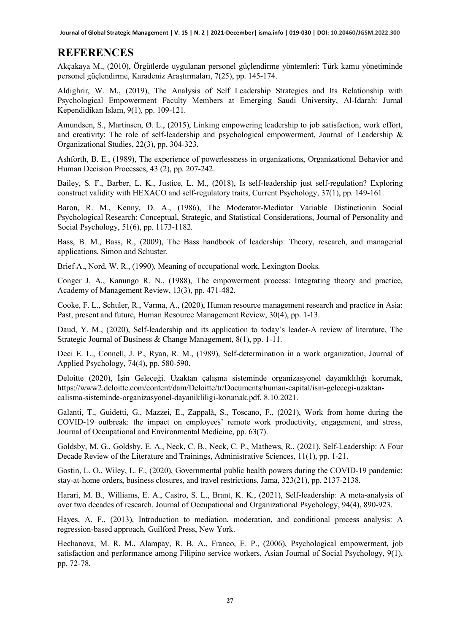**Journal of Global Strategic Management | V. 15 | N. 2 | 2021-December| isma.info | 019-030 | DOI: 10.20460/JGSM.2022.300**

### **REFERENCES**

Akçakaya M., (2010), Örgütlerde uygulanan personel güçlendirme yöntemleri: Türk kamu yönetiminde personel güçlendirme, Karadeniz Araştırmaları, 7(25), pp. 145-174.

Aldighrir, W. M., (2019), The Analysis of Self Leadership Strategies and Its Relationship with Psychological Empowerment Faculty Members at Emerging Saudi University, Al-Idarah: Jurnal Kependidikan Islam, 9(1), pp. 109-121.

Amundsen, S., Martinsen, Ø. L., (2015), Linking empowering leadership to job satisfaction, work effort, and creativity: The role of self-leadership and psychological empowerment, Journal of Leadership & Organizational Studies, 22(3), pp. 304-323.

Ashforth, B. E., (1989), The experience of powerlessness in organizations, Organizational Behavior and Human Decision Processes, 43 (2), pp. 207-242.

Bailey, S. F., Barber, L. K., Justice, L. M., (2018), Is self-leadership just self-regulation? Exploring construct validity with HEXACO and self-regulatory traits, Current Psychology, 37(1), pp. 149-161.

Baron, R. M., Kenny, D. A., (1986), The Moderator-Mediator Variable Distinctionin Social Psychological Research: Conceptual, Strategic, and Statistical Considerations, Journal of Personality and Social Psychology, 51(6), pp. 1173-1182.

Bass, B. M., Bass, R., (2009), The Bass handbook of leadership: Theory, research, and managerial applications, Simon and Schuster.

Brief A., Nord, W. R., (1990), Meaning of occupational work, Lexington Books.

Conger J. A., Kanungo R. N., (1988), The empowerment process: Integrating theory and practice, Academy of Management Review, 13(3), pp. 471-482.

Cooke, F. L., Schuler, R., Varma, A., (2020), Human resource management research and practice in Asia: Past, present and future, Human Resource Management Review, 30(4), pp. 1-13.

Daud, Y. M., (2020), Self-leadership and its application to today's leader-A review of literature, The Strategic Journal of Business & Change Management, 8(1), pp. 1-11.

Deci E. L., Connell, J. P., Ryan, R. M., (1989), Self-determination in a work organization, Journal of Applied Psychology, 74(4), pp. 580-590.

Deloitte (2020), İşin Geleceği. Uzaktan çalışma sisteminde organizasyonel dayanıklılığı korumak, https://www2.deloitte.com/content/dam/Deloitte/tr/Documents/human-capital/isin-gelecegi-uzaktancalisma-sisteminde-organizasyonel-dayanikliligi-korumak.pdf, 8.10.2021.

Galanti, T., Guidetti, G., Mazzei, E., Zappalà, S., Toscano, F., (2021), Work from home during the COVID-19 outbreak: the impact on employees' remote work productivity, engagement, and stress, Journal of Occupational and Environmental Medicine, pp. 63(7).

Goldsby, M. G., Goldsby, E. A., Neck, C. B., Neck, C. P., Mathews, R., (2021), Self-Leadership: A Four Decade Review of the Literature and Trainings, Administrative Sciences, 11(1), pp. 1-21.

Gostin, L. O., Wiley, L. F., (2020), Governmental public health powers during the COVID-19 pandemic: stay-at-home orders, business closures, and travel restrictions, Jama, 323(21), pp. 2137-2138.

Harari, M. B., Williams, E. A., Castro, S. L., Brant, K. K., (2021), Self-leadership: A meta-analysis of over two decades of research. Journal of Occupational and Organizational Psychology, 94(4), 890-923.

Hayes, A. F., (2013), Introduction to mediation, moderation, and conditional process analysis: A regression-based approach, Guilford Press, New York.

Hechanova, M. R. M., Alampay, R. B. A., Franco, E. P., (2006), Psychological empowerment, job satisfaction and performance among Filipino service workers, Asian Journal of Social Psychology, 9(1), pp. 72-78.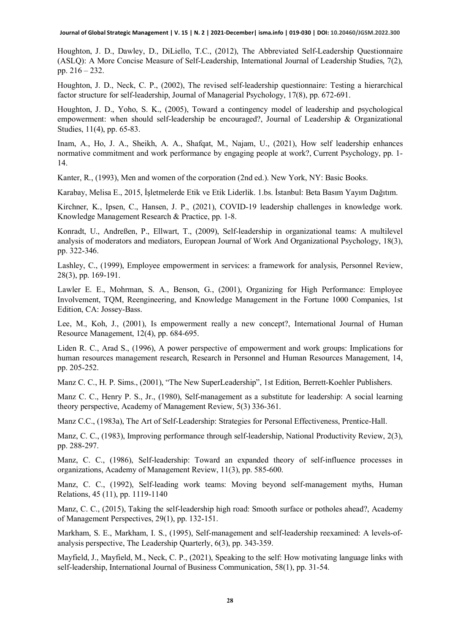**Journal of Global Strategic Management | V. 15 | N. 2 | 2021-December| isma.info | 019-030 | DOI: 10.20460/JGSM.2022.300**

Houghton, J. D., Dawley, D., DiLiello, T.C., (2012), The Abbreviated Self-Leadership Questionnaire (ASLQ): A More Concise Measure of Self-Leadership, International Journal of Leadership Studies, 7(2), pp. 216 – 232.

Houghton, J. D., Neck, C. P., (2002), The revised self‐leadership questionnaire: Testing a hierarchical factor structure for self‐leadership, Journal of Managerial Psychology, 17(8), pp. 672-691.

Houghton, J. D., Yoho, S. K., (2005), Toward a contingency model of leadership and psychological empowerment: when should self-leadership be encouraged?, Journal of Leadership & Organizational Studies, 11(4), pp. 65-83.

Inam, A., Ho, J. A., Sheikh, A. A., Shafqat, M., Najam, U., (2021), How self leadership enhances normative commitment and work performance by engaging people at work?, Current Psychology, pp. 1- 14.

Kanter, R., (1993), Men and women of the corporation (2nd ed.). New York, NY: Basic Books.

Karabay, Melisa E., 2015, İşletmelerde Etik ve Etik Liderlik. 1.bs. İstanbul: Beta Basım Yayım Dağıtım.

Kirchner, K., Ipsen, C., Hansen, J. P., (2021), COVID-19 leadership challenges in knowledge work. Knowledge Management Research & Practice, pp. 1-8.

Konradt, U., Andreßen, P., Ellwart, T., (2009), Self-leadership in organizational teams: A multilevel analysis of moderators and mediators, European Journal of Work And Organizational Psychology, 18(3), pp. 322-346.

Lashley, C., (1999), Employee empowerment in services: a framework for analysis, Personnel Review, 28(3), pp. 169-191.

Lawler E. E., Mohrman, S. A., Benson, G., (2001), Organizing for High Performance: Employee Involvement, TQM, Reengineering, and Knowledge Management in the Fortune 1000 Companies, 1st Edition, CA: Jossey-Bass.

Lee, M., Koh, J., (2001), Is empowerment really a new concept?, International Journal of Human Resource Management, 12(4), pp. 684-695.

Liden R. C., Arad S., (1996), A power perspective of empowerment and work groups: Implications for human resources management research, Research in Personnel and Human Resources Management, 14, pp. 205-252.

Manz C. C., H. P. Sims., (2001), "The New SuperLeadership", 1st Edition, Berrett-Koehler Publishers.

Manz C. C., Henry P. S., Jr., (1980), Self-management as a substitute for leadership: A social learning theory perspective, Academy of Management Review, 5(3) 336-361.

Manz C.C., (1983a), The Art of Self-Leadership: Strategies for Personal Effectiveness, Prentice-Hall.

Manz, C. C., (1983), Improving performance through self-leadership, National Productivity Review, 2(3), pp. 288-297.

Manz, C. C., (1986), Self-leadership: Toward an expanded theory of self-influence processes in organizations, Academy of Management Review, 11(3), pp. 585-600.

Manz, C. C., (1992), Self-leading work teams: Moving beyond self-management myths, Human Relations, 45 (11), pp. 1119-1140

Manz, C. C., (2015), Taking the self-leadership high road: Smooth surface or potholes ahead?, Academy of Management Perspectives, 29(1), pp. 132-151.

Markham, S. E., Markham, I. S., (1995), Self-management and self-leadership reexamined: A levels-ofanalysis perspective, The Leadership Quarterly, 6(3), pp. 343-359.

Mayfield, J., Mayfield, M., Neck, C. P., (2021), Speaking to the self: How motivating language links with self-leadership, International Journal of Business Communication, 58(1), pp. 31-54.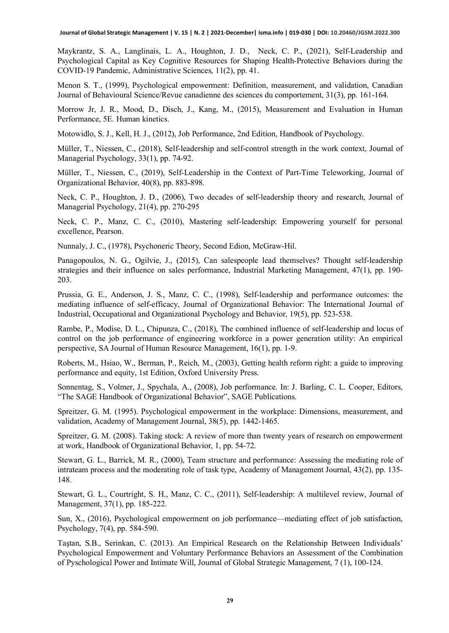Maykrantz, S. A., Langlinais, L. A., Houghton, J. D., Neck, C. P., (2021), Self-Leadership and Psychological Capital as Key Cognitive Resources for Shaping Health-Protective Behaviors during the COVID-19 Pandemic, Administrative Sciences, 11(2), pp. 41.

Menon S. T., (1999), Psychological empowerment: Definition, measurement, and validation, Canadian Journal of Behavioural Science/Revue canadienne des sciences du comportement, 31(3), pp. 161-164.

Morrow Jr, J. R., Mood, D., Disch, J., Kang, M., (2015), Measurement and Evaluation in Human Performance, 5E. Human kinetics.

Motowidlo, S. J., Kell, H. J., (2012), Job Performance, 2nd Edition, Handbook of Psychology.

Müller, T., Niessen, C., (2018), Self-leadership and self-control strength in the work context, Journal of Managerial Psychology, 33(1), pp. 74-92.

Müller, T., Niessen, C., (2019), Self-Leadership in the Context of Part-Time Teleworking, Journal of Organizational Behavior, 40(8), pp. 883-898.

Neck, C. P., Houghton, J. D., (2006), Two decades of self-leadership theory and research, Journal of Managerial Psychology, 21(4), pp. 270-295

Neck, C. P., Manz, C. C., (2010), Mastering self-leadership: Empowering yourself for personal excellence, Pearson.

Nunnaly, J. C., (1978), Psychoneric Theory, Second Edion, McGraw-Hil.

Panagopoulos, N. G., Ogilvie, J., (2015), Can salespeople lead themselves? Thought self-leadership strategies and their influence on sales performance, Industrial Marketing Management, 47(1), pp. 190- 203.

Prussia, G. E., Anderson, J. S., Manz, C. C., (1998), Self‐leadership and performance outcomes: the mediating influence of self‐efficacy, Journal of Organizational Behavior: The International Journal of Industrial, Occupational and Organizational Psychology and Behavior, 19(5), pp. 523-538.

Rambe, P., Modise, D. L., Chipunza, C., (2018), The combined influence of self-leadership and locus of control on the job performance of engineering workforce in a power generation utility: An empirical perspective, SA Journal of Human Resource Management, 16(1), pp. 1-9.

Roberts, M., Hsiao, W., Berman, P., Reich, M., (2003), Getting health reform right: a guide to improving performance and equity, 1st Edition, Oxford University Press.

Sonnentag, S., Volmer, J., Spychala, A., (2008), Job performance. In: J. Barling, C. L. Cooper, Editors, "The SAGE Handbook of Organizational Behavior", SAGE Publications.

Spreitzer, G. M. (1995). Psychological empowerment in the workplace: Dimensions, measurement, and validation, Academy of Management Journal, 38(5), pp. 1442-1465.

Spreitzer, G. M. (2008). Taking stock: A review of more than twenty years of research on empowerment at work, Handbook of Organizational Behavior, 1, pp. 54-72.

Stewart, G. L., Barrick, M. R., (2000), Team structure and performance: Assessing the mediating role of intrateam process and the moderating role of task type, Academy of Management Journal, 43(2), pp. 135- 148.

Stewart, G. L., Courtright, S. H., Manz, C. C., (2011), Self-leadership: A multilevel review, Journal of Management, 37(1), pp. 185-222.

Sun, X., (2016), Psychological empowerment on job performance—mediating effect of job satisfaction, Psychology, 7(4), pp. 584-590.

Taştan, S.B., Serinkan, C. (2013). An Empirical Research on the Relationship Between Individuals' Psychological Empowerment and Voluntary Performance Behaviors an Assessment of the Combination of Pyschological Power and Intimate Will, Journal of Global Strategic Management, 7 (1), 100-124.